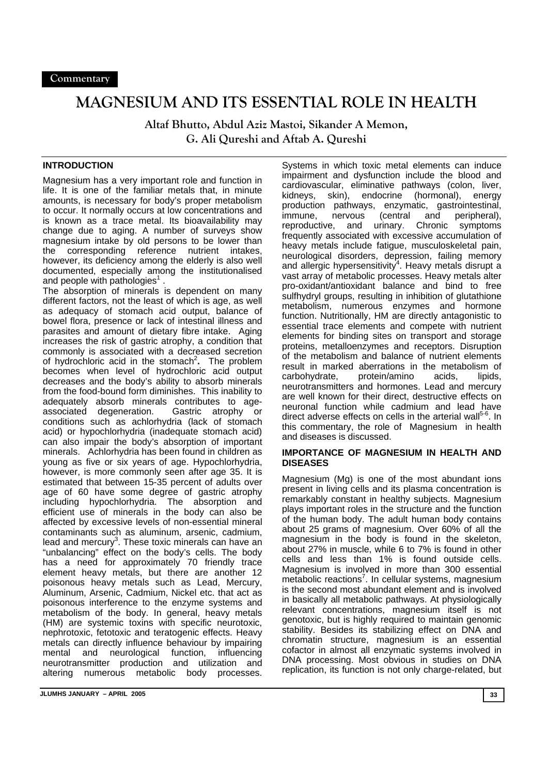# **MAGNESIUM AND ITS ESSENTIAL ROLE IN HEALTH**

**Altaf Bhutto, Abdul Aziz Mastoi, Sikander A Memon, G. Ali Qureshi and Aftab A. Qureshi** 

## **INTRODUCTION**

Magnesium has a very important role and function in life. It is one of the familiar metals that, in minute amounts, is necessary for body's proper metabolism to occur. It normally occurs at low concentrations and is known as a trace metal. Its bioavailability may change due to aging. A number of surveys show magnesium intake by old persons to be lower than the corresponding reference nutrient intakes, however, its deficiency among the elderly is also well documented, especially among the institutionalised and people with pathologies $<sup>1</sup>$ .</sup>

The absorption of minerals is dependent on many different factors, not the least of which is age, as well as adequacy of stomach acid output, balance of bowel flora, presence or lack of intestinal illness and parasites and amount of dietary fibre intake. Aging increases the risk of gastric atrophy, a condition that commonly is associated with a decreased secretion of hydrochloric acid in the stomach<sup>2</sup>. The problem becomes when level of hydrochloric acid output decreases and the body's ability to absorb minerals from the food-bound form diminishes. This inability to adequately absorb minerals contributes to age-<br>associated degeneration. Gastric atrophy or associated degeneration. conditions such as achlorhydria (lack of stomach acid) or hypochlorhydria (inadequate stomach acid) can also impair the body's absorption of important minerals. Achlorhydria has been found in children as young as five or six years of age. Hypochlorhydria, however, is more commonly seen after age 35. It is estimated that between 15-35 percent of adults over age of 60 have some degree of gastric atrophy including hypochlorhydria. The absorption and efficient use of minerals in the body can also be affected by excessive levels of non-essential mineral contaminants such as aluminum, arsenic, cadmium, lead and mercury<sup>3</sup>. These toxic minerals can have an "unbalancing" effect on the body's cells. The body has a need for approximately 70 friendly trace element heavy metals, but there are another 12 poisonous heavy metals such as Lead, Mercury, Aluminum, Arsenic, Cadmium, Nickel etc. that act as poisonous interference to the enzyme systems and metabolism of the body. In general, heavy metals (HM) are systemic toxins with specific neurotoxic, nephrotoxic, fetotoxic and teratogenic effects. Heavy metals can directly influence behaviour by impairing mental and neurological function, influencing neurotransmitter production and utilization and altering numerous metabolic body processes.

Systems in which toxic metal elements can induce impairment and dysfunction include the blood and cardiovascular, eliminative pathways (colon, liver, kidneys, skin), endocrine (hormonal), energy production pathways, enzymatic, gastrointestinal, immune, nervous (central and peripheral), reproductive, and urinary. Chronic symptoms frequently associated with excessive accumulation of heavy metals include fatigue, musculoskeletal pain, neurological disorders, depression, failing memory and allergic hypersensitivity<sup>4</sup>. Heavy metals disrupt a vast array of metabolic processes. Heavy metals alter pro-oxidant/antioxidant balance and bind to free sulfhydryl groups, resulting in inhibition of glutathione metabolism, numerous enzymes and hormone function. Nutritionally, HM are directly antagonistic to essential trace elements and compete with nutrient elements for binding sites on transport and storage proteins, metalloenzymes and receptors. Disruption of the metabolism and balance of nutrient elements result in marked aberrations in the metabolism of carbohydrate, protein/amino acids, lipids, neurotransmitters and hormones. Lead and mercury are well known for their direct, destructive effects on neuronal function while cadmium and lead have direct adverse effects on cells in the arterial wall<sup>5-6</sup>. In this commentary, the role of Magnesium in health and diseases is discussed.

#### **IMPORTANCE OF MAGNESIUM IN HEALTH AND DISEASES**

Magnesium (Mg) is one of the most abundant ions present in living cells and its plasma concentration is remarkably constant in healthy subjects. Magnesium plays important roles in the structure and the function of the human body. The adult human body contains about 25 grams of magnesium. Over 60% of all the magnesium in the body is found in the skeleton, about 27% in muscle, while 6 to 7% is found in other cells and less than 1% is found outside cells. Magnesium is involved in more than 300 essential metabolic reactions<sup>7</sup>. In cellular systems, magnesium is the second most abundant element and is involved in basically all metabolic pathways. At physiologically relevant concentrations, magnesium itself is not genotoxic, but is highly required to maintain genomic stability. Besides its stabilizing effect on DNA and chromatin structure, magnesium is an essential cofactor in almost all enzymatic systems involved in DNA processing. Most obvious in studies on DNA replication, its function is not only charge-related, but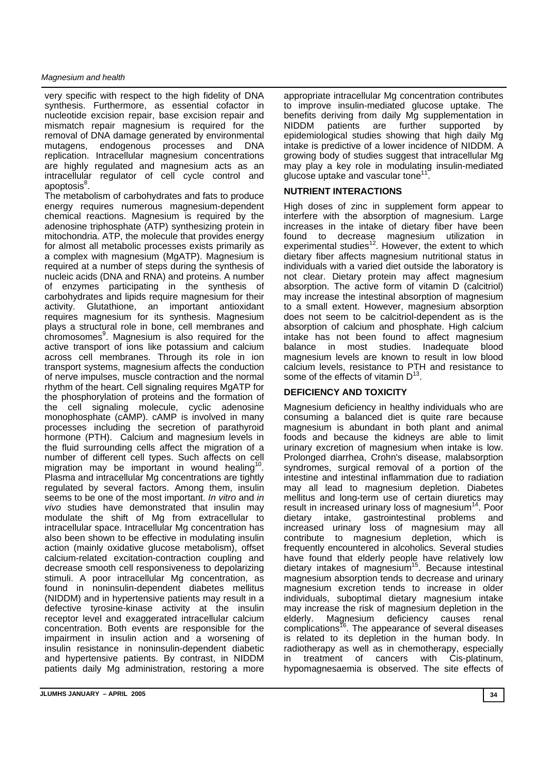#### *Magnesium and health*

very specific with respect to the high fidelity of DNA synthesis. Furthermore, as essential cofactor in nucleotide excision repair, base excision repair and mismatch repair magnesium is required for the removal of DNA damage generated by environmental mutagens, endogenous processes and DNA replication. Intracellular magnesium concentrations are highly regulated and magnesium acts as an intracellular regulator of cell cycle control and apoptosis<sup>8</sup>.

The metabolism of carbohydrates and fats to produce energy requires numerous magnesium-dependent chemical reactions. Magnesium is required by the adenosine triphosphate (ATP) synthesizing protein in mitochondria. ATP, the molecule that provides energy for almost all metabolic processes exists primarily as a complex with magnesium (MgATP). Magnesium is required at a number of steps during the synthesis of nucleic acids (DNA and RNA) and proteins. A number of enzymes participating in the synthesis of carbohydrates and lipids require magnesium for their activity. Glutathione, an important antioxidant requires magnesium for its synthesis. Magnesium plays a structural role in bone, cell membranes and chromosomes<sup>9</sup>. Magnesium is also required for the active transport of ions like potassium and calcium across cell membranes. Through its role in ion transport systems, magnesium affects the conduction of nerve impulses, muscle contraction and the normal rhythm of the heart. Cell signaling requires MgATP for the phosphorylation of proteins and the formation of the cell signaling molecule, cyclic adenosine monophosphate (cAMP). cAMP is involved in many processes including the secretion of parathyroid hormone (PTH). Calcium and magnesium levels in the fluid surrounding cells affect the migration of a number of different cell types. Such affects on cell migration may be important in wound healing<sup>10</sup>. Plasma and intracellular Mg concentrations are tightly regulated by several factors. Among them, insulin seems to be one of the most important. *In vitro* and *in vivo* studies have demonstrated that insulin may modulate the shift of Mg from extracellular to intracellular space. Intracellular Mg concentration has also been shown to be effective in modulating insulin action (mainly oxidative glucose metabolism), offset calcium-related excitation-contraction coupling and decrease smooth cell responsiveness to depolarizing stimuli. A poor intracellular Mg concentration, as found in noninsulin-dependent diabetes mellitus (NIDDM) and in hypertensive patients may result in a defective tyrosine-kinase activity at the insulin receptor level and exaggerated intracellular calcium concentration. Both events are responsible for the impairment in insulin action and a worsening of insulin resistance in noninsulin-dependent diabetic and hypertensive patients. By contrast, in NIDDM patients daily Mg administration, restoring a more

appropriate intracellular Mg concentration contributes to improve insulin-mediated glucose uptake. The benefits deriving from daily Mg supplementation in NIDDM patients are further supported by epidemiological studies showing that high daily Mg intake is predictive of a lower incidence of NIDDM. A growing body of studies suggest that intracellular Mg may play a key role in modulating insulin-mediated glucose uptake and vascular tone<sup>11</sup>.

## **NUTRIENT INTERACTIONS**

High doses of zinc in supplement form appear to interfere with the absorption of magnesium. Large increases in the intake of dietary fiber have been found to decrease magnesium utilization in experimental studies<sup>12</sup>. However, the extent to which dietary fiber affects magnesium nutritional status in individuals with a varied diet outside the laboratory is not clear. Dietary protein may affect magnesium absorption. The active form of vitamin D (calcitriol) may increase the intestinal absorption of magnesium to a small extent. However, magnesium absorption does not seem to be calcitriol-dependent as is the absorption of calcium and phosphate. High calcium intake has not been found to affect magnesium balance in most studies. Inadequate blood magnesium levels are known to result in low blood calcium levels, resistance to PTH and resistance to some of the effects of vitamin  $D^{13}$ .

## **DEFICIENCY AND TOXICITY**

Magnesium deficiency in healthy individuals who are consuming a balanced diet is quite rare because magnesium is abundant in both plant and animal foods and because the kidneys are able to limit urinary excretion of magnesium when intake is low. Prolonged diarrhea, Crohn's disease, malabsorption syndromes, surgical removal of a portion of the intestine and intestinal inflammation due to radiation may all lead to magnesium depletion. Diabetes mellitus and long-term use of certain diuretics may result in increased urinary loss of magnesium $14$ . Poor dietary intake, gastrointestinal problems and increased urinary loss of magnesium may all contribute to magnesium depletion, which is frequently encountered in alcoholics. Several studies have found that elderly people have relatively low dietary intakes of magnesium<sup>15</sup>. Because intestinal magnesium absorption tends to decrease and urinary magnesium excretion tends to increase in older individuals, suboptimal dietary magnesium intake may increase the risk of magnesium depletion in the elderly. Magnesium deficiency causes renal complications<sup>16</sup>. The appearance of several diseases is related to its depletion in the human body. In radiotherapy as well as in chemotherapy, especially in treatment of cancers with Cis-platinum, hypomagnesaemia is observed. The site effects of